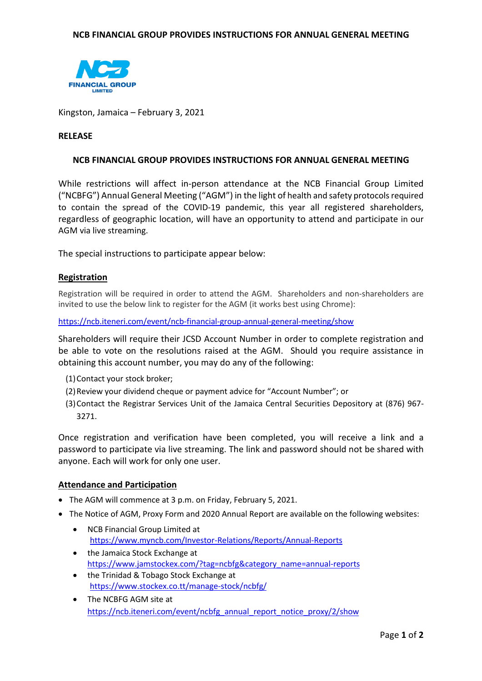

Kingston, Jamaica – February 3, 2021

## **RELEASE**

## **NCB FINANCIAL GROUP PROVIDES INSTRUCTIONS FOR ANNUAL GENERAL MEETING**

While restrictions will affect in-person attendance at the NCB Financial Group Limited ("NCBFG") Annual General Meeting ("AGM") in the light of health and safety protocols required to contain the spread of the COVID-19 pandemic, this year all registered shareholders, regardless of geographic location, will have an opportunity to attend and participate in our AGM via live streaming.

The special instructions to participate appear below:

## **Registration**

Registration will be required in order to attend the AGM. Shareholders and non-shareholders are invited to use the below link to register for the AGM (it works best using Chrome):

<https://ncb.iteneri.com/event/ncb-financial-group-annual-general-meeting/show>

Shareholders will require their JCSD Account Number in order to complete registration and be able to vote on the resolutions raised at the AGM. Should you require assistance in obtaining this account number, you may do any of the following:

- (1)Contact your stock broker;
- (2)Review your dividend cheque or payment advice for "Account Number"; or
- (3)Contact the Registrar Services Unit of the Jamaica Central Securities Depository at (876) 967- 3271.

Once registration and verification have been completed, you will receive a link and a password to participate via live streaming. The link and password should not be shared with anyone. Each will work for only one user.

## **Attendance and Participation**

- The AGM will commence at 3 p.m. on Friday, February 5, 2021.
- The Notice of AGM, Proxy Form and 2020 Annual Report are available on the following websites:
	- NCB Financial Group Limited at <https://www.myncb.com/Investor-Relations/Reports/Annual-Reports>
	- the Jamaica Stock Exchange at [https://www.jamstockex.com/?tag=ncbfg&category\\_name=annual-reports](https://www.jamstockex.com/?tag=ncbfg&category_name=annual-reports)
	- the Trinidad & Tobago Stock Exchange at <https://www.stockex.co.tt/manage-stock/ncbfg/>
	- The NCBFG AGM site at https://ncb.iteneri.com/event/ncbfg\_annual\_report\_notice\_proxy/2/show